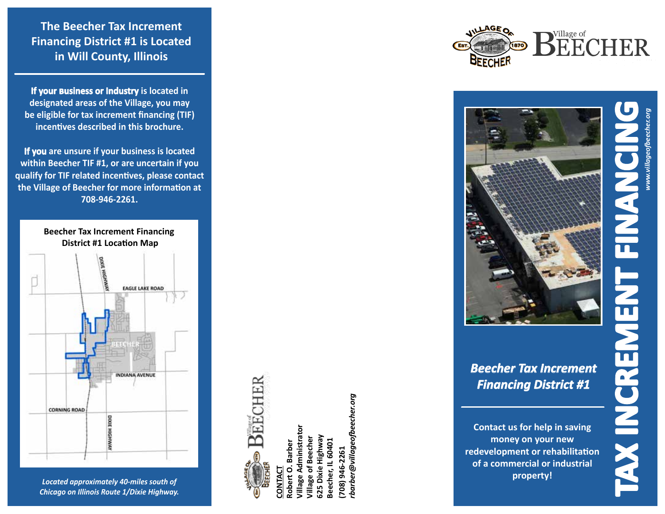**The Beecher Tax Increment Financing District #1 is Located in Will County, Illinois**

**If your �usiness or Industry is located in designated areas of the Village, you may be eligible for tax increment financing (TIF) incentives described in this brochure.**

**If you are unsure if your business is located within Beecher TIF #1, or are uncertain if you qualify for TIF related incentives, please contact the Village of Beecher for more information at 708-946-2261.**



*Located approximately 40-miles south of Chicago on Illinois Route 1/Dixie Highway.*



**(708) 946-2261**

 $(708)$ 

*rbarber@villageofbeecher.org*

tbarber@villageofbeecher.org

 $(870)$ 



## *Beecher Tax Increment Financing District #1*

**Contact us for help in saving money on your new redevelopment or rehabilitation of a commercial or industrial property!**

**TAX INCREMENT FINANCING** *www.villageofbeecher.org*